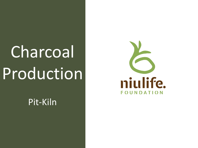# **Charcoal** Production

Pit-Kiln

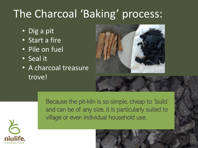## The Charcoal 'Baking' process:

- Dig a pit
- Start a fire
- Pile on fuel
- Seal it
- A charcoal treasure trove!



Because the pit-kiln is so simple, cheap to 'build' and can be of any size, it is particularly suited to village or even individual household use.

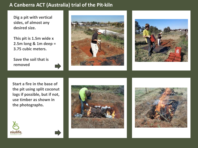#### **A Canberra ACT (Australia) trial of the Pit-kiln**

**Dig a pit with vertical sides, of almost any desired size.** 

**This pit is 1.5m wide x 2.5m long & 1m deep = 3.75 cubic meters.** 

**Save the soil that is removed**





**Start a fire in the base of the pit using split coconut logs if possible, but if not, use timber as shown in the photographs.** 







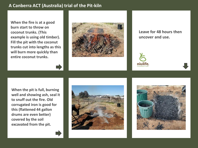#### **A Canberra ACT (Australia) trial of the Pit-kiln**

**When the fire is at a good burn start to throw on coconut trunks. (This example is using old timber). Fill the pit with the coconut trunks cut into lengths as this will burn more quickly than entire coconut trunks.** 



**Leave for 48 hours then uncover and use.**



**When the pit is full, burning well and showing ash, seal it to snuff out the fire. Old corrugated iron is good for this (flattened 44 gallon drums are even better) covered by the soil excavated from the pit.** 



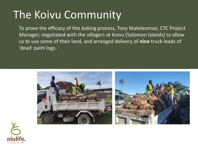### The Koivu Community

To prove the efficacy of this baking process, Tony Matelaomao, CTC Project Manager, negotiated with the villagers at Koivu (Solomon Islands) to allow us to use some of their land, and arranged delivery of **nine** truck loads of 'dead' palm logs.



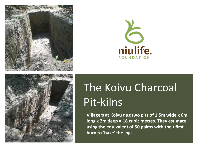





### The Roiva charcoal  $\begin{bmatrix} 1 & 1 & 1 \\ 1 & 1 & 1 \\ 1 & 1 & 1 \\ 1 & 1 & 1 \end{bmatrix}$ The Koivu Charcoal Pit-kilns

**Villagers at Koivu dug two pits of 1.5m wide x 6m long x 2m deep = 18 cubic metres. They estimate using the equivalent of 50 palms with their first burn to 'bake' the logs.**